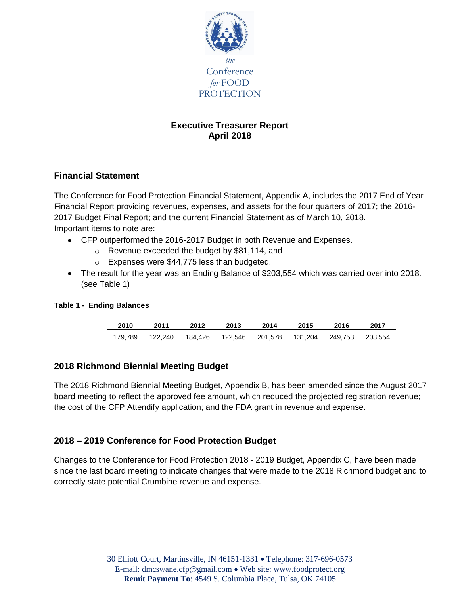

# **Executive Treasurer Report April 2018**

# **Financial Statement**

The Conference for Food Protection Financial Statement, Appendix A, includes the 2017 End of Year Financial Report providing revenues, expenses, and assets for the four quarters of 2017; the 2016- 2017 Budget Final Report; and the current Financial Statement as of March 10, 2018. Important items to note are:

- CFP outperformed the 2016-2017 Budget in both Revenue and Expenses.
	- o Revenue exceeded the budget by \$81,114, and
	- o Expenses were \$44,775 less than budgeted.
- The result for the year was an Ending Balance of \$203,554 which was carried over into 2018. (see Table 1)

## **Table 1 - Ending Balances**

| 2010    | 2011 | 2012 | 2013 | 2014                                                          | 2015 | 2016 | 2017 |
|---------|------|------|------|---------------------------------------------------------------|------|------|------|
| 179.789 |      |      |      | 122,240  184,426  122,546  201,578  131,204  249,753  203,554 |      |      |      |

# **2018 Richmond Biennial Meeting Budget**

The 2018 Richmond Biennial Meeting Budget, Appendix B, has been amended since the August 2017 board meeting to reflect the approved fee amount, which reduced the projected registration revenue; the cost of the CFP Attendify application; and the FDA grant in revenue and expense.

# **2018 – 2019 Conference for Food Protection Budget**

Changes to the Conference for Food Protection 2018 - 2019 Budget, Appendix C, have been made since the last board meeting to indicate changes that were made to the 2018 Richmond budget and to correctly state potential Crumbine revenue and expense.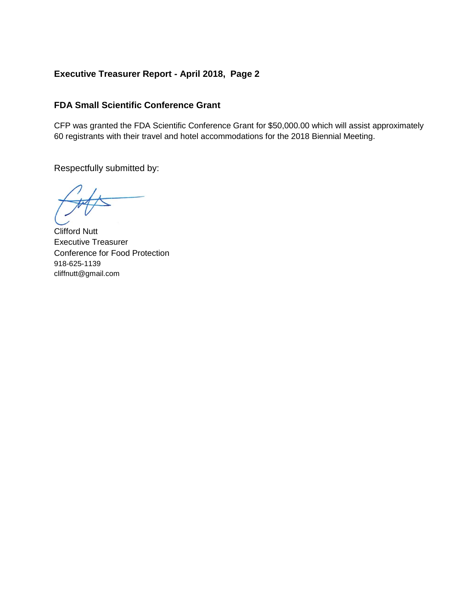# **Executive Treasurer Report - April 2018, Page 2**

# **FDA Small Scientific Conference Grant**

CFP was granted the FDA Scientific Conference Grant for \$50,000.00 which will assist approximately 60 registrants with their travel and hotel accommodations for the 2018 Biennial Meeting.

Clifford Nutt Executive Treasurer Conference for Food Protection 918-625-1139 cliffnutt@gmail.com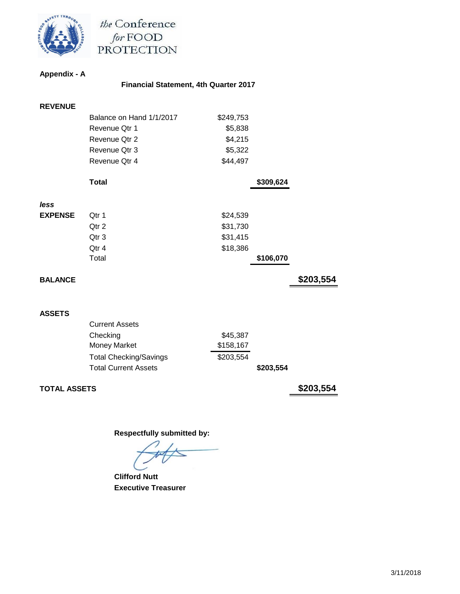

the Conference for FOOD<br>PROTECTION

#### **Appendix - A**

# **Financial Statement, 4th Quarter 2017**

| <b>REVENUE</b> |                          |           |           |           |
|----------------|--------------------------|-----------|-----------|-----------|
|                | Balance on Hand 1/1/2017 | \$249,753 |           |           |
|                | Revenue Qtr 1            | \$5,838   |           |           |
|                | Revenue Qtr 2            | \$4,215   |           |           |
|                | Revenue Qtr 3            | \$5,322   |           |           |
|                | Revenue Qtr 4            | \$44,497  |           |           |
|                | <b>Total</b>             |           | \$309,624 |           |
| less           |                          |           |           |           |
| <b>EXPENSE</b> | Qtr 1                    | \$24,539  |           |           |
|                | Qtr 2                    | \$31,730  |           |           |
|                | Qtr 3                    | \$31,415  |           |           |
|                | Qtr 4                    | \$18,386  |           |           |
|                | Total                    |           | \$106,070 |           |
| <b>BALANCE</b> |                          |           |           | \$203,554 |
|                |                          |           |           |           |
| <b>ASSETS</b>  |                          |           |           |           |
|                | <b>Current Assets</b>    |           |           |           |

| Checking                      | \$45,387  |  |
|-------------------------------|-----------|--|
| Money Market                  | \$158,167 |  |
| <b>Total Checking/Savings</b> | \$203,554 |  |
| <b>Total Current Assets</b>   | \$203,554 |  |

**TOTAL ASSETS \$203,554**

 **Clifford Nutt Executive Treasurer**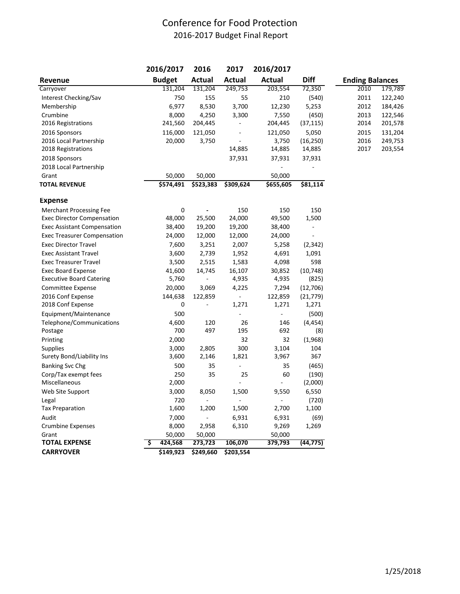# Conference for Food Protection 2016-2017 Budget Final Report

|                                    |   | 2016/2017     | 2016      | 2017           | 2016/2017      |           |                        |         |
|------------------------------------|---|---------------|-----------|----------------|----------------|-----------|------------------------|---------|
| Revenue                            |   | <b>Budget</b> | Actual    | Actual         | <b>Actual</b>  | Diff      | <b>Ending Balances</b> |         |
| Carryover                          |   | 131,204       | 131,204   | 249,753        | 203,554        | 72,350    | 2010                   | 179,789 |
| Interest Checking/Sav              |   | 750           | 155       | 55             | 210            | (540)     | 2011                   | 122,240 |
| Membership                         |   | 6,977         | 8,530     | 3,700          | 12,230         | 5,253     | 2012                   | 184,426 |
| Crumbine                           |   | 8,000         | 4,250     | 3,300          | 7,550          | (450)     | 2013                   | 122,546 |
| 2016 Registrations                 |   | 241,560       | 204,445   |                | 204,445        | (37, 115) | 2014                   | 201,578 |
| 2016 Sponsors                      |   | 116,000       | 121,050   |                | 121,050        | 5,050     | 2015                   | 131,204 |
| 2016 Local Partnership             |   | 20,000        | 3,750     |                | 3,750          | (16, 250) | 2016                   | 249,753 |
| 2018 Registrations                 |   |               |           | 14,885         | 14,885         | 14,885    | 2017                   | 203,554 |
| 2018 Sponsors                      |   |               |           | 37,931         | 37,931         | 37,931    |                        |         |
| 2018 Local Partnership             |   |               |           |                |                |           |                        |         |
| Grant                              |   | 50,000        | 50,000    |                | 50,000         |           |                        |         |
| <b>TOTAL REVENUE</b>               |   | \$574,491     | \$523,383 | \$309,624      | \$655,605      | \$81,114  |                        |         |
| <b>Expense</b>                     |   |               |           |                |                |           |                        |         |
| <b>Merchant Processing Fee</b>     |   | 0             |           | 150            | 150            | 150       |                        |         |
| <b>Exec Director Compensation</b>  |   | 48,000        | 25,500    | 24,000         | 49,500         | 1,500     |                        |         |
| <b>Exec Assistant Compensation</b> |   | 38,400        | 19,200    | 19,200         | 38,400         |           |                        |         |
| <b>Exec Treasurer Compensation</b> |   | 24,000        | 12,000    | 12,000         | 24,000         |           |                        |         |
| <b>Exec Director Travel</b>        |   | 7,600         | 3,251     | 2,007          | 5,258          | (2, 342)  |                        |         |
| <b>Exec Assistant Travel</b>       |   | 3,600         | 2,739     | 1,952          | 4,691          | 1,091     |                        |         |
| <b>Exec Treasurer Travel</b>       |   | 3,500         | 2,515     | 1,583          | 4,098          | 598       |                        |         |
| <b>Exec Board Expense</b>          |   | 41,600        | 14,745    | 16,107         | 30,852         | (10, 748) |                        |         |
| <b>Executive Board Catering</b>    |   | 5,760         |           | 4,935          | 4,935          | (825)     |                        |         |
| <b>Committee Expense</b>           |   | 20,000        | 3,069     | 4,225          | 7,294          | (12,706)  |                        |         |
| 2016 Conf Expense                  |   | 144,638       | 122,859   |                | 122,859        | (21, 779) |                        |         |
| 2018 Conf Expense                  |   | 0             |           | 1,271          | 1,271          | 1,271     |                        |         |
| Equipment/Maintenance              |   | 500           |           | ä,             |                | (500)     |                        |         |
| Telephone/Communications           |   | 4,600         | 120       | 26             | 146            | (4, 454)  |                        |         |
| Postage                            |   | 700           | 497       | 195            | 692            | (8)       |                        |         |
| Printing                           |   | 2,000         |           | 32             | 32             | (1,968)   |                        |         |
| <b>Supplies</b>                    |   | 3,000         | 2,805     | 300            | 3,104          | 104       |                        |         |
| Surety Bond/Liability Ins          |   | 3,600         | 2,146     | 1,821          | 3,967          | 367       |                        |         |
| <b>Banking Svc Chg</b>             |   | 500           | 35        | ÷,             | 35             | (465)     |                        |         |
| Corp/Tax exempt fees               |   | 250           | 35        | 25             | 60             | (190)     |                        |         |
| Miscellaneous                      |   | 2,000         |           | Ĭ.             | $\overline{a}$ | (2,000)   |                        |         |
| Web Site Support                   |   | 3,000         | 8,050     | 1,500          | 9,550          | 6,550     |                        |         |
| Legal                              |   | 720           |           | $\overline{a}$ | ä,             | (720)     |                        |         |
| <b>Tax Preparation</b>             |   | 1,600         | 1,200     | 1,500          | 2,700          | 1,100     |                        |         |
| Audit                              |   | 7,000         |           | 6,931          | 6,931          | (69)      |                        |         |
| <b>Crumbine Expenses</b>           |   | 8,000         | 2,958     | 6,310          | 9,269          | 1,269     |                        |         |
| Grant                              |   | 50,000        | 50,000    |                | 50,000         |           |                        |         |
| <b>TOTAL EXPENSE</b>               | s | 424,568       | 273,723   | 106,070        | 379,793        | (44, 775) |                        |         |
| <b>CARRYOVER</b>                   |   | \$149,923     | \$249,660 | \$203,554      |                |           |                        |         |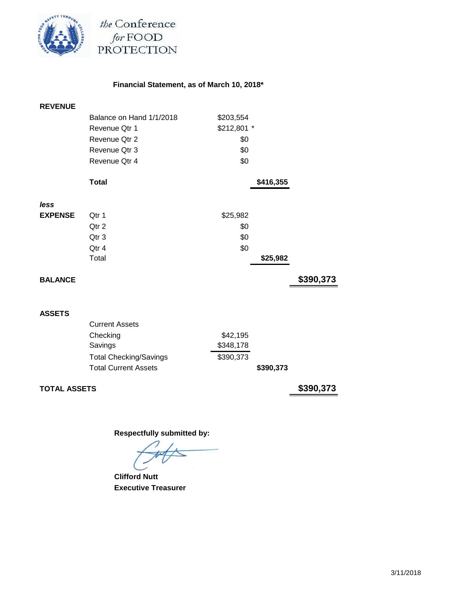

the Conference for FOOD<br>PROTECTION

# **Financial Statement, as of March 10, 2018\***

| <b>REVENUE</b>      |                               |             |           |           |
|---------------------|-------------------------------|-------------|-----------|-----------|
|                     | Balance on Hand 1/1/2018      | \$203,554   |           |           |
|                     | Revenue Qtr 1                 | \$212,801 * |           |           |
|                     | Revenue Qtr 2                 | \$0         |           |           |
|                     | Revenue Qtr 3                 | \$0         |           |           |
|                     | Revenue Qtr 4                 | \$0         |           |           |
|                     | <b>Total</b>                  |             | \$416,355 |           |
| less                |                               |             |           |           |
| <b>EXPENSE</b>      | Qtr 1                         | \$25,982    |           |           |
|                     | Qtr 2                         | \$0         |           |           |
|                     | Qtr 3                         | \$0         |           |           |
|                     | Qtr 4                         | \$0         |           |           |
|                     | Total                         |             | \$25,982  |           |
| <b>BALANCE</b>      |                               |             |           | \$390,373 |
|                     |                               |             |           |           |
| <b>ASSETS</b>       |                               |             |           |           |
|                     | <b>Current Assets</b>         |             |           |           |
|                     | Checking                      | \$42,195    |           |           |
|                     | Savings                       | \$348,178   |           |           |
|                     | <b>Total Checking/Savings</b> | \$390,373   |           |           |
|                     | <b>Total Current Assets</b>   |             | \$390,373 |           |
| <b>TOTAL ASSETS</b> |                               |             |           | \$390,373 |

 **Clifford Nutt Executive Treasurer**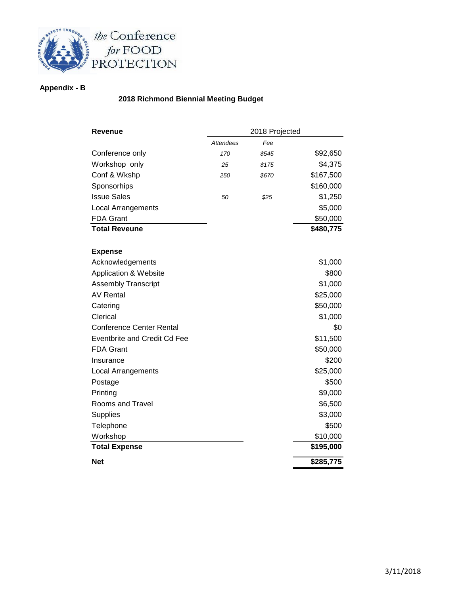

# **Appendix - B**

## **2018 Richmond Biennial Meeting Budget**

| Revenue                         |                  | 2018 Projected |           |
|---------------------------------|------------------|----------------|-----------|
|                                 | <b>Attendees</b> | Fee            |           |
| Conference only                 | 170              | \$545          | \$92,650  |
| Workshop only                   | 25               | \$175          | \$4,375   |
| Conf & Wkshp                    | 250              | \$670          | \$167,500 |
| Sponsorhips                     |                  |                | \$160,000 |
| <b>Issue Sales</b>              | 50               | \$25           | \$1,250   |
| <b>Local Arrangements</b>       |                  |                | \$5,000   |
| <b>FDA Grant</b>                |                  |                | \$50,000  |
| <b>Total Reveune</b>            |                  |                | \$480,775 |
|                                 |                  |                |           |
| <b>Expense</b>                  |                  |                |           |
| Acknowledgements                |                  |                | \$1,000   |
| Application & Website           |                  |                | \$800     |
| Assembly Transcript             |                  |                | \$1,000   |
| <b>AV Rental</b>                |                  |                | \$25,000  |
| Catering                        |                  |                | \$50,000  |
| Clerical                        |                  |                | \$1,000   |
| <b>Conference Center Rental</b> |                  |                | \$0       |
| Eventbrite and Credit Cd Fee    |                  |                | \$11,500  |
| <b>FDA Grant</b>                |                  |                | \$50,000  |
| Insurance                       |                  |                | \$200     |
| <b>Local Arrangements</b>       |                  |                | \$25,000  |
| Postage                         |                  |                | \$500     |
| Printing                        |                  |                | \$9,000   |
| Rooms and Travel                |                  |                | \$6,500   |
| Supplies                        |                  |                | \$3,000   |
| Telephone                       |                  |                | \$500     |
| Workshop                        |                  |                | \$10,000  |
| <b>Total Expense</b>            |                  |                | \$195,000 |
| <b>Net</b>                      |                  |                | \$285,775 |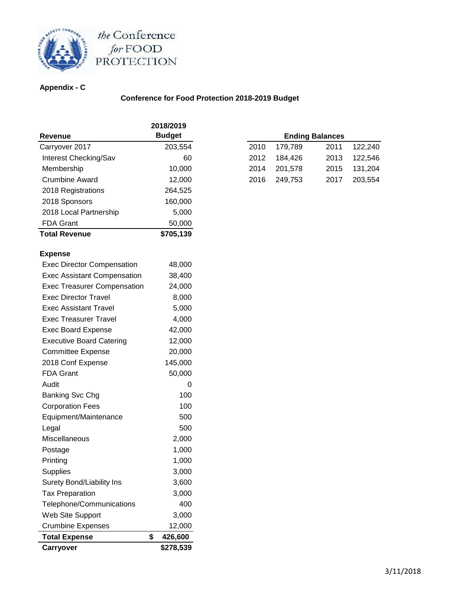

# the Conference<br>for FOOD<br>PROTECTION

## **Appendix - C**

## **Conference for Food Protection 2018-2019 Budget**

|                                    | 2018/2019     |    |      |         |                        |
|------------------------------------|---------------|----|------|---------|------------------------|
| <b>Revenue</b>                     | <b>Budget</b> |    |      |         | <b>Ending Balances</b> |
| Carryover 2017                     | 203,554       |    | 2010 | 179,789 | 2011                   |
| Interest Checking/Sav              |               | 60 | 2012 | 184,426 | 2013                   |
| Membership                         | 10,000        |    | 2014 | 201,578 | 2015                   |
| <b>Crumbine Award</b>              | 12,000        |    | 2016 | 249,753 | 2017                   |
| 2018 Registrations                 | 264,525       |    |      |         |                        |
| 2018 Sponsors                      | 160,000       |    |      |         |                        |
| 2018 Local Partnership             | 5,000         |    |      |         |                        |
| <b>FDA Grant</b>                   | 50,000        |    |      |         |                        |
| <b>Total Revenue</b>               | \$705,139     |    |      |         |                        |
| <b>Expense</b>                     |               |    |      |         |                        |
| <b>Exec Director Compensation</b>  | 48,000        |    |      |         |                        |
| <b>Exec Assistant Compensation</b> | 38,400        |    |      |         |                        |
| <b>Exec Treasurer Compensation</b> | 24,000        |    |      |         |                        |
| <b>Exec Director Travel</b>        | 8,000         |    |      |         |                        |
| <b>Exec Assistant Travel</b>       | 5,000         |    |      |         |                        |
| <b>Exec Treasurer Travel</b>       | 4,000         |    |      |         |                        |
| <b>Exec Board Expense</b>          | 42,000        |    |      |         |                        |
| <b>Executive Board Catering</b>    | 12,000        |    |      |         |                        |
| <b>Committee Expense</b>           | 20,000        |    |      |         |                        |
| 2018 Conf Expense                  | 145,000       |    |      |         |                        |
| <b>FDA Grant</b>                   | 50,000        |    |      |         |                        |
| Audit                              |               | 0  |      |         |                        |
| <b>Banking Svc Chg</b>             | 100           |    |      |         |                        |
| <b>Corporation Fees</b>            | 100           |    |      |         |                        |
| Equipment/Maintenance              | 500           |    |      |         |                        |
| Legal                              | 500           |    |      |         |                        |
| Miscellaneous                      | 2,000         |    |      |         |                        |
| Postage                            | 1,000         |    |      |         |                        |
| Printing                           | 1,000         |    |      |         |                        |
| Supplies                           | 3,000         |    |      |         |                        |
| Surety Bond/Liability Ins          | 3,600         |    |      |         |                        |
| <b>Tax Preparation</b>             | 3,000         |    |      |         |                        |
| Telephone/Communications           | 400           |    |      |         |                        |
| Web Site Support                   | 3,000         |    |      |         |                        |
| <b>Crumbine Expenses</b>           | 12,000        |    |      |         |                        |
| <b>Total Expense</b>               | \$<br>426,600 |    |      |         |                        |
|                                    |               |    |      |         |                        |
| Carryover                          | \$278,539     |    |      |         |                        |

| <b>Ending Balances</b> |         |      |         |  |  |  |  |
|------------------------|---------|------|---------|--|--|--|--|
| 2010                   | 179.789 | 2011 | 122,240 |  |  |  |  |
| 2012                   | 184,426 | 2013 | 122.546 |  |  |  |  |
| 2014                   | 201,578 | 2015 | 131,204 |  |  |  |  |
| 2016                   | 249,753 | 2017 | 203,554 |  |  |  |  |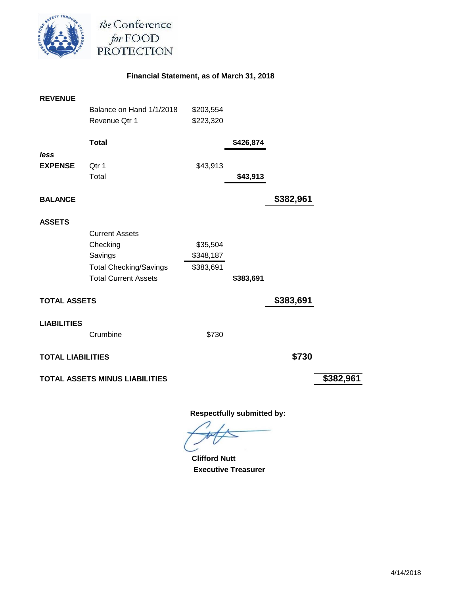

the Conference for FOOD<br>PROTECTION

## **Financial Statement, as of March 31, 2018**

| <b>REVENUE</b>           |                                |           |           |           |           |
|--------------------------|--------------------------------|-----------|-----------|-----------|-----------|
|                          | Balance on Hand 1/1/2018       | \$203,554 |           |           |           |
|                          | Revenue Qtr 1                  | \$223,320 |           |           |           |
|                          | <b>Total</b>                   |           | \$426,874 |           |           |
| less                     |                                |           |           |           |           |
| <b>EXPENSE</b>           | Qtr 1                          | \$43,913  |           |           |           |
|                          | Total                          |           | \$43,913  |           |           |
| <b>BALANCE</b>           |                                |           |           | \$382,961 |           |
| <b>ASSETS</b>            |                                |           |           |           |           |
|                          | <b>Current Assets</b>          |           |           |           |           |
|                          | Checking                       | \$35,504  |           |           |           |
|                          | Savings                        | \$348,187 |           |           |           |
|                          | <b>Total Checking/Savings</b>  | \$383,691 |           |           |           |
|                          | <b>Total Current Assets</b>    |           | \$383,691 |           |           |
| <b>TOTAL ASSETS</b>      |                                |           |           | \$383,691 |           |
| <b>LIABILITIES</b>       |                                |           |           |           |           |
|                          | Crumbine                       | \$730     |           |           |           |
| <b>TOTAL LIABILITIES</b> |                                |           |           | \$730     |           |
|                          | TOTAL ASSETS MINUS LIABILITIES |           |           |           | \$382,961 |
|                          |                                |           |           |           |           |

 **Clifford Nutt Executive Treasurer**